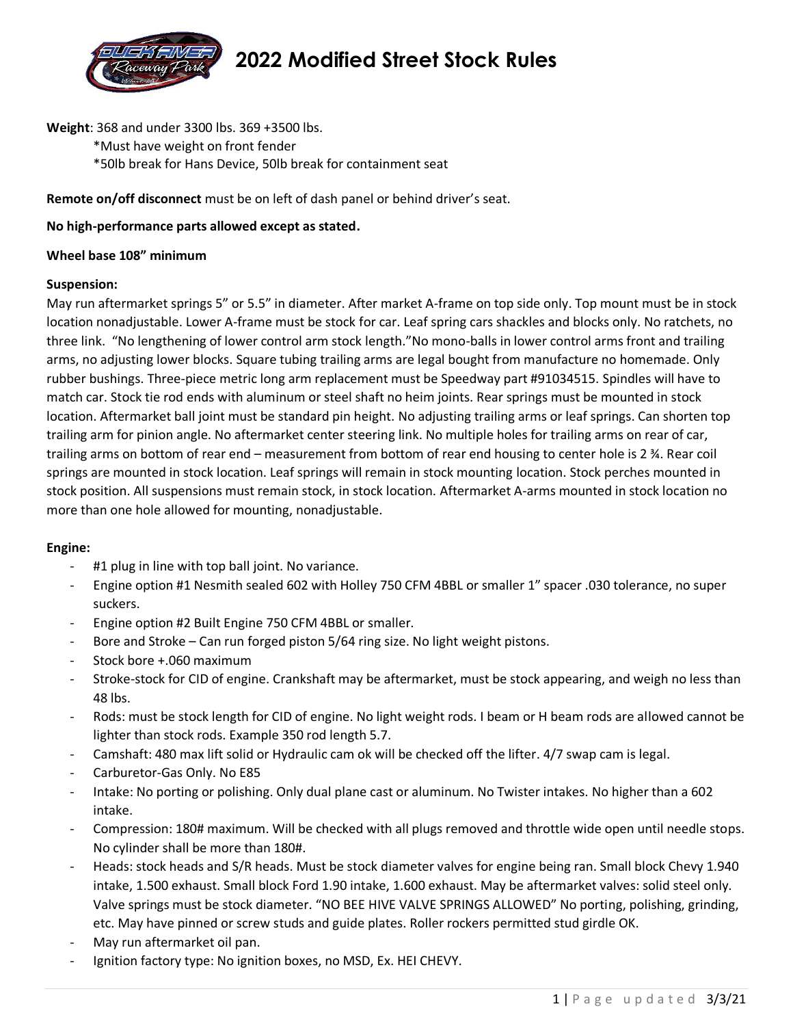

# **2022 Modified Street Stock Rules**

**Weight**: 368 and under 3300 lbs. 369 +3500 lbs.

\*Must have weight on front fender \*50lb break for Hans Device, 50lb break for containment seat

**Remote on/off disconnect** must be on left of dash panel or behind driver's seat.

### **No high-performance parts allowed except as stated.**

#### **Wheel base 108" minimum**

#### **Suspension:**

May run aftermarket springs 5" or 5.5" in diameter. After market A-frame on top side only. Top mount must be in stock location nonadjustable. Lower A-frame must be stock for car. Leaf spring cars shackles and blocks only. No ratchets, no three link. "No lengthening of lower control arm stock length."No mono-balls in lower control arms front and trailing arms, no adjusting lower blocks. Square tubing trailing arms are legal bought from manufacture no homemade. Only rubber bushings. Three-piece metric long arm replacement must be Speedway part #91034515. Spindles will have to match car. Stock tie rod ends with aluminum or steel shaft no heim joints. Rear springs must be mounted in stock location. Aftermarket ball joint must be standard pin height. No adjusting trailing arms or leaf springs. Can shorten top trailing arm for pinion angle. No aftermarket center steering link. No multiple holes for trailing arms on rear of car, trailing arms on bottom of rear end – measurement from bottom of rear end housing to center hole is 2 ¾. Rear coil springs are mounted in stock location. Leaf springs will remain in stock mounting location. Stock perches mounted in stock position. All suspensions must remain stock, in stock location. Aftermarket A-arms mounted in stock location no more than one hole allowed for mounting, nonadjustable.

#### **Engine:**

- #1 plug in line with top ball joint. No variance.
- Engine option #1 Nesmith sealed 602 with Holley 750 CFM 4BBL or smaller 1" spacer .030 tolerance, no super suckers.
- Engine option #2 Built Engine 750 CFM 4BBL or smaller.
- Bore and Stroke Can run forged piston 5/64 ring size. No light weight pistons.
- Stock bore +.060 maximum
- Stroke-stock for CID of engine. Crankshaft may be aftermarket, must be stock appearing, and weigh no less than 48 lbs.
- Rods: must be stock length for CID of engine. No light weight rods. I beam or H beam rods are allowed cannot be lighter than stock rods. Example 350 rod length 5.7.
- Camshaft: 480 max lift solid or Hydraulic cam ok will be checked off the lifter. 4/7 swap cam is legal.
- Carburetor-Gas Only. No E85
- Intake: No porting or polishing. Only dual plane cast or aluminum. No Twister intakes. No higher than a 602 intake.
- Compression: 180# maximum. Will be checked with all plugs removed and throttle wide open until needle stops. No cylinder shall be more than 180#.
- Heads: stock heads and S/R heads. Must be stock diameter valves for engine being ran. Small block Chevy 1.940 intake, 1.500 exhaust. Small block Ford 1.90 intake, 1.600 exhaust. May be aftermarket valves: solid steel only. Valve springs must be stock diameter. "NO BEE HIVE VALVE SPRINGS ALLOWED" No porting, polishing, grinding, etc. May have pinned or screw studs and guide plates. Roller rockers permitted stud girdle OK.
- May run aftermarket oil pan.
- Ignition factory type: No ignition boxes, no MSD, Ex. HEI CHEVY.